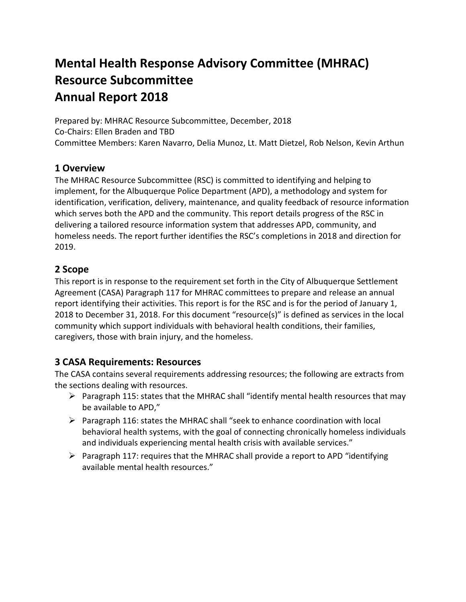# **Mental Health Response Advisory Committee (MHRAC) Resource Subcommittee Annual Report 2018**

Prepared by: MHRAC Resource Subcommittee, December, 2018 Co-Chairs: Ellen Braden and TBD Committee Members: Karen Navarro, Delia Munoz, Lt. Matt Dietzel, Rob Nelson, Kevin Arthun

### **1 Overview**

The MHRAC Resource Subcommittee (RSC) is committed to identifying and helping to implement, for the Albuquerque Police Department (APD), a methodology and system for identification, verification, delivery, maintenance, and quality feedback of resource information which serves both the APD and the community. This report details progress of the RSC in delivering a tailored resource information system that addresses APD, community, and homeless needs. The report further identifies the RSC's completions in 2018 and direction for 2019.

### **2 Scope**

This report is in response to the requirement set forth in the City of Albuquerque Settlement Agreement (CASA) Paragraph 117 for MHRAC committees to prepare and release an annual report identifying their activities. This report is for the RSC and is for the period of January 1, 2018 to December 31, 2018. For this document "resource(s)" is defined as services in the local community which support individuals with behavioral health conditions, their families, caregivers, those with brain injury, and the homeless.

## **3 CASA Requirements: Resources**

The CASA contains several requirements addressing resources; the following are extracts from the sections dealing with resources.

- $\triangleright$  Paragraph 115: states that the MHRAC shall "identify mental health resources that may be available to APD,"
- $\triangleright$  Paragraph 116: states the MHRAC shall "seek to enhance coordination with local behavioral health systems, with the goal of connecting chronically homeless individuals and individuals experiencing mental health crisis with available services."
- $\triangleright$  Paragraph 117: requires that the MHRAC shall provide a report to APD "identifying" available mental health resources."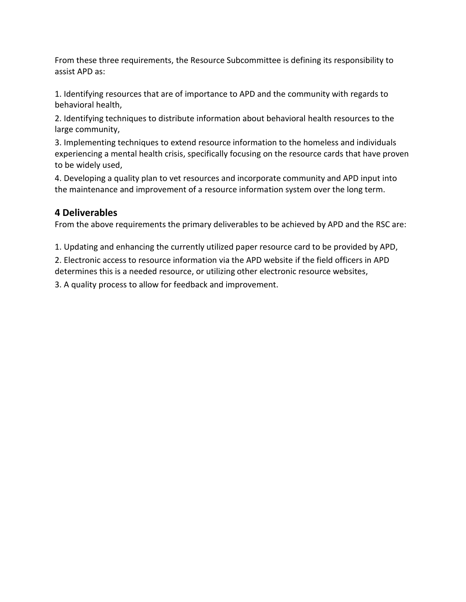From these three requirements, the Resource Subcommittee is defining its responsibility to assist APD as:

1. Identifying resources that are of importance to APD and the community with regards to behavioral health,

2. Identifying techniques to distribute information about behavioral health resources to the large community,

3. Implementing techniques to extend resource information to the homeless and individuals experiencing a mental health crisis, specifically focusing on the resource cards that have proven to be widely used,

4. Developing a quality plan to vet resources and incorporate community and APD input into the maintenance and improvement of a resource information system over the long term.

## **4 Deliverables**

From the above requirements the primary deliverables to be achieved by APD and the RSC are:

1. Updating and enhancing the currently utilized paper resource card to be provided by APD,

2. Electronic access to resource information via the APD website if the field officers in APD determines this is a needed resource, or utilizing other electronic resource websites,

3. A quality process to allow for feedback and improvement.